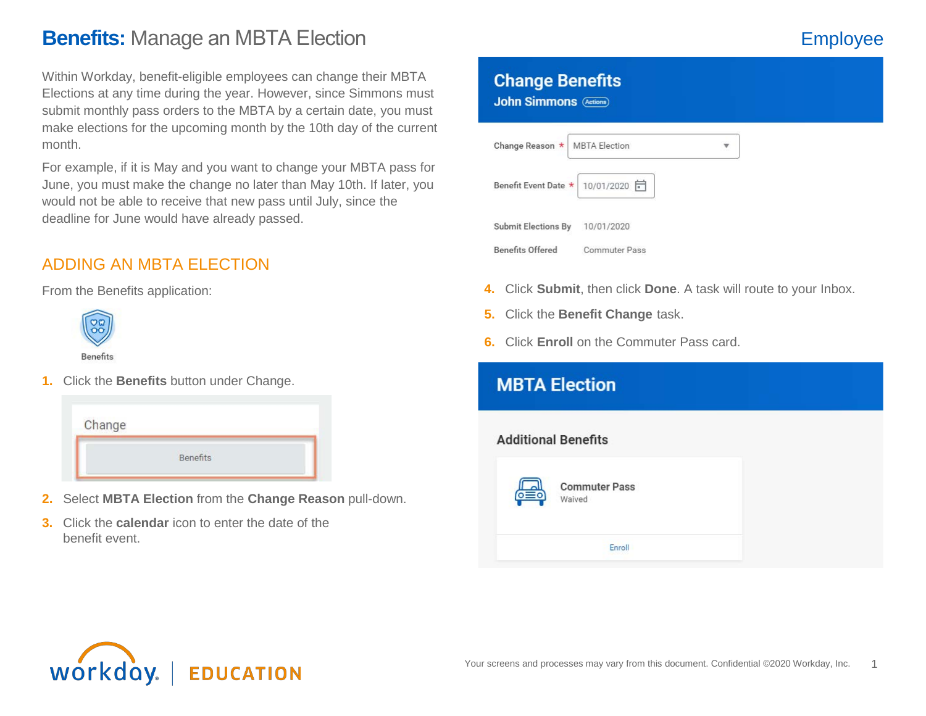# **Benefits:** Manage an MBTA Election **Employee**

Within Workday, benefit-eligible employees can change their MBTA Elections at any time during the year. However, since Simmons must submit monthly pass orders to the MBTA by a certain date, you must make elections for the upcoming month by the 10th day of the current month.

For example, if it is May and you want to change your MBTA pass for June, you must make the change no later than May 10th. If later, you would not be able to receive that new pass until July, since the deadline for June would have already passed.

# ADDING AN MBTA ELECTION

From the Benefits application:



**1.** Click the **Benefits** button under Change.

| Change |          |  |
|--------|----------|--|
|        |          |  |
|        | Benefits |  |
|        |          |  |

- **2.** Select **MBTA Election** from the **Change Reason** pull-down.
- **3.** Click the **calendar** icon to enter the date of the benefit event.

## **Change Benefits**

**John Simmons (Actions)** 

| Change Reason *            | <b>MBTA Election</b> |  |
|----------------------------|----------------------|--|
| Benefit Event Date *       | 10/01/2020 日         |  |
| <b>Submit Elections By</b> | 10/01/2020           |  |
| <b>Benefits Offered</b>    | <b>Commuter Pass</b> |  |

- **4.** Click **Submit**, then click **Done**. A task will route to your Inbox.
- **5.** Click the **Benefit Change** task.
- **6.** Click **Enroll** on the Commuter Pass card.

| <b>MBTA Election</b>           |  |
|--------------------------------|--|
| <b>Additional Benefits</b>     |  |
| <b>Commuter Pass</b><br>Waived |  |
| Enroll                         |  |